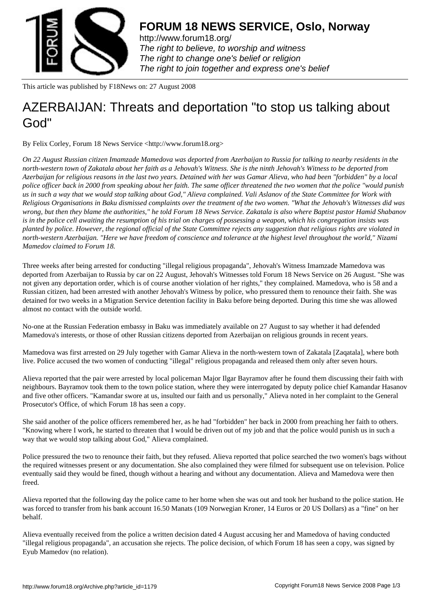

http://www.forum18.org/ The right to believe, to worship and witness The right to change one's belief or religion [The right to join together](http://www.forum18.org/) and express one's belief

This article was published by F18News on: 27 August 2008

## [AZERBAIJAN: Thr](http://www.forum18.org)eats and deportation "to stop us talking about God"

By Felix Corley, Forum 18 News Service <http://www.forum18.org>

*On 22 August Russian citizen Imamzade Mamedova was deported from Azerbaijan to Russia for talking to nearby residents in the north-western town of Zakatala about her faith as a Jehovah's Witness. She is the ninth Jehovah's Witness to be deported from Azerbaijan for religious reasons in the last two years. Detained with her was Gamar Alieva, who had been "forbidden" by a local police officer back in 2000 from speaking about her faith. The same officer threatened the two women that the police "would punish us in such a way that we would stop talking about God," Alieva complained. Vali Aslanov of the State Committee for Work with Religious Organisations in Baku dismissed complaints over the treatment of the two women. "What the Jehovah's Witnesses did was wrong, but then they blame the authorities," he told Forum 18 News Service. Zakatala is also where Baptist pastor Hamid Shabanov is in the police cell awaiting the resumption of his trial on charges of possessing a weapon, which his congregation insists was planted by police. However, the regional official of the State Committee rejects any suggestion that religious rights are violated in north-western Azerbaijan. "Here we have freedom of conscience and tolerance at the highest level throughout the world," Nizami Mamedov claimed to Forum 18.*

Three weeks after being arrested for conducting "illegal religious propaganda", Jehovah's Witness Imamzade Mamedova was deported from Azerbaijan to Russia by car on 22 August, Jehovah's Witnesses told Forum 18 News Service on 26 August. "She was not given any deportation order, which is of course another violation of her rights," they complained. Mamedova, who is 58 and a Russian citizen, had been arrested with another Jehovah's Witness by police, who pressured them to renounce their faith. She was detained for two weeks in a Migration Service detention facility in Baku before being deported. During this time she was allowed almost no contact with the outside world.

No-one at the Russian Federation embassy in Baku was immediately available on 27 August to say whether it had defended Mamedova's interests, or those of other Russian citizens deported from Azerbaijan on religious grounds in recent years.

Mamedova was first arrested on 29 July together with Gamar Alieva in the north-western town of Zakatala [Zaqatala], where both live. Police accused the two women of conducting "illegal" religious propaganda and released them only after seven hours.

Alieva reported that the pair were arrested by local policeman Major Ilgar Bayramov after he found them discussing their faith with neighbours. Bayramov took them to the town police station, where they were interrogated by deputy police chief Kamandar Hasanov and five other officers. "Kamandar swore at us, insulted our faith and us personally," Alieva noted in her complaint to the General Prosecutor's Office, of which Forum 18 has seen a copy.

She said another of the police officers remembered her, as he had "forbidden" her back in 2000 from preaching her faith to others. "Knowing where I work, he started to threaten that I would be driven out of my job and that the police would punish us in such a way that we would stop talking about God," Alieva complained.

Police pressured the two to renounce their faith, but they refused. Alieva reported that police searched the two women's bags without the required witnesses present or any documentation. She also complained they were filmed for subsequent use on television. Police eventually said they would be fined, though without a hearing and without any documentation. Alieva and Mamedova were then freed.

Alieva reported that the following day the police came to her home when she was out and took her husband to the police station. He was forced to transfer from his bank account 16.50 Manats (109 Norwegian Kroner, 14 Euros or 20 US Dollars) as a "fine" on her behalf.

Alieva eventually received from the police a written decision dated 4 August accusing her and Mamedova of having conducted "illegal religious propaganda", an accusation she rejects. The police decision, of which Forum 18 has seen a copy, was signed by Eyub Mamedov (no relation).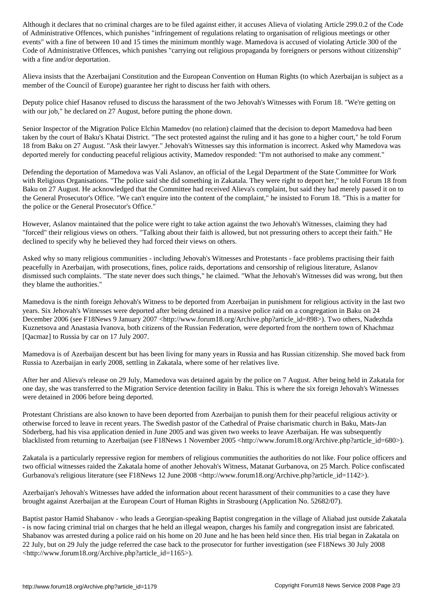of Administrative Offences, which punishes "infringement of regulations relating to organisation of religious meetings or other events" with a fine of between 10 and 15 times the minimum monthly wage. Mamedova is accused of violating Article 300 of the Code of Administrative Offences, which punishes "carrying out religious propaganda by foreigners or persons without citizenship" with a fine and/or deportation.

Alieva insists that the Azerbaijani Constitution and the European Convention on Human Rights (to which Azerbaijan is subject as a member of the Council of Europe) guarantee her right to discuss her faith with others.

Deputy police chief Hasanov refused to discuss the harassment of the two Jehovah's Witnesses with Forum 18. "We're getting on with our job," he declared on 27 August, before putting the phone down.

Senior Inspector of the Migration Police Elchin Mamedov (no relation) claimed that the decision to deport Mamedova had been taken by the court of Baku's Khatai District. "The sect protested against the ruling and it has gone to a higher court," he told Forum 18 from Baku on 27 August. "Ask their lawyer." Jehovah's Witnesses say this information is incorrect. Asked why Mamedova was deported merely for conducting peaceful religious activity, Mamedov responded: "I'm not authorised to make any comment."

Defending the deportation of Mamedova was Vali Aslanov, an official of the Legal Department of the State Committee for Work with Religious Organisations. "The police said she did something in Zakatala. They were right to deport her," he told Forum 18 from Baku on 27 August. He acknowledged that the Committee had received Alieva's complaint, but said they had merely passed it on to the General Prosecutor's Office. "We can't enquire into the content of the complaint," he insisted to Forum 18. "This is a matter for the police or the General Prosecutor's Office."

However, Aslanov maintained that the police were right to take action against the two Jehovah's Witnesses, claiming they had "forced" their religious views on others. "Talking about their faith is allowed, but not pressuring others to accept their faith." He declined to specify why he believed they had forced their views on others.

Asked why so many religious communities - including Jehovah's Witnesses and Protestants - face problems practising their faith peacefully in Azerbaijan, with prosecutions, fines, police raids, deportations and censorship of religious literature, Aslanov dismissed such complaints. "The state never does such things," he claimed. "What the Jehovah's Witnesses did was wrong, but then they blame the authorities."

Mamedova is the ninth foreign Jehovah's Witness to be deported from Azerbaijan in punishment for religious activity in the last two years. Six Jehovah's Witnesses were deported after being detained in a massive police raid on a congregation in Baku on 24 December 2006 (see F18News 9 January 2007 <http://www.forum18.org/Archive.php?article\_id=898>). Two others, Nadezhda Kuznetsova and Anastasia Ivanova, both citizens of the Russian Federation, were deported from the northern town of Khachmaz [Qacmaz] to Russia by car on 17 July 2007.

Mamedova is of Azerbaijan descent but has been living for many years in Russia and has Russian citizenship. She moved back from Russia to Azerbaijan in early 2008, settling in Zakatala, where some of her relatives live.

After her and Alieva's release on 29 July, Mamedova was detained again by the police on 7 August. After being held in Zakatala for one day, she was transferred to the Migration Service detention facility in Baku. This is where the six foreign Jehovah's Witnesses were detained in 2006 before being deported.

Protestant Christians are also known to have been deported from Azerbaijan to punish them for their peaceful religious activity or otherwise forced to leave in recent years. The Swedish pastor of the Cathedral of Praise charismatic church in Baku, Mats-Jan Söderberg, had his visa application denied in June 2005 and was given two weeks to leave Azerbaijan. He was subsequently blacklisted from returning to Azerbaijan (see F18News 1 November 2005 <http://www.forum18.org/Archive.php?article\_id=680>).

Zakatala is a particularly repressive region for members of religious communities the authorities do not like. Four police officers and two official witnesses raided the Zakatala home of another Jehovah's Witness, Matanat Gurbanova, on 25 March. Police confiscated Gurbanova's religious literature (see F18News 12 June 2008 <http://www.forum18.org/Archive.php?article\_id=1142>).

Azerbaijan's Jehovah's Witnesses have added the information about recent harassment of their communities to a case they have brought against Azerbaijan at the European Court of Human Rights in Strasbourg (Application No. 52682/07).

Baptist pastor Hamid Shabanov - who leads a Georgian-speaking Baptist congregation in the village of Aliabad just outside Zakatala - is now facing criminal trial on charges that he held an illegal weapon, charges his family and congregation insist are fabricated. Shabanov was arrested during a police raid on his home on 20 June and he has been held since then. His trial began in Zakatala on 22 July, but on 29 July the judge referred the case back to the prosecutor for further investigation (see F18News 30 July 2008 <http://www.forum18.org/Archive.php?article\_id=1165>).